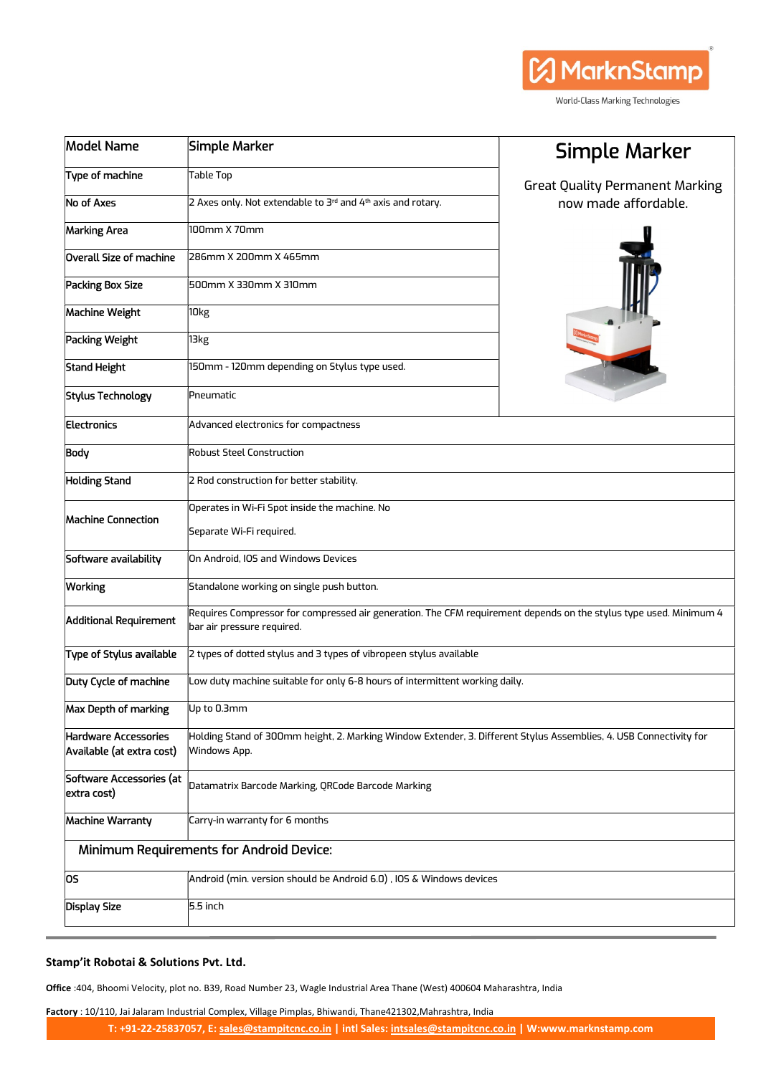| Model Name                                               | Simple Marker                                                                                                                                   | Simple Marker                          |  |  |  |
|----------------------------------------------------------|-------------------------------------------------------------------------------------------------------------------------------------------------|----------------------------------------|--|--|--|
| Type of machine                                          | <b>Table Top</b>                                                                                                                                | <b>Great Quality Permanent Marking</b> |  |  |  |
| <b>No of Axes</b>                                        | 2 Axes only. Not extendable to 3rd and 4th axis and rotary.                                                                                     | now made affordable.                   |  |  |  |
| <b>Marking Area</b>                                      | 100mm X 70mm                                                                                                                                    |                                        |  |  |  |
| Overall Size of machine                                  | 286mm X 200mm X 465mm                                                                                                                           |                                        |  |  |  |
| Packing Box Size                                         | 500mm X 330mm X 310mm                                                                                                                           |                                        |  |  |  |
| <b>Machine Weight</b>                                    | 10kg                                                                                                                                            |                                        |  |  |  |
| <b>Packing Weight</b>                                    | 13kg                                                                                                                                            |                                        |  |  |  |
| <b>Stand Height</b>                                      | 150mm - 120mm depending on Stylus type used.                                                                                                    |                                        |  |  |  |
| <b>Stylus Technology</b>                                 | Pneumatic                                                                                                                                       |                                        |  |  |  |
| <b>Electronics</b>                                       | Advanced electronics for compactness                                                                                                            |                                        |  |  |  |
| <b>Body</b>                                              | <b>Robust Steel Construction</b>                                                                                                                |                                        |  |  |  |
| <b>Holding Stand</b>                                     | 2 Rod construction for better stability.                                                                                                        |                                        |  |  |  |
|                                                          | Operates in Wi-Fi Spot inside the machine. No                                                                                                   |                                        |  |  |  |
| <b>Machine Connection</b>                                | Separate Wi-Fi required.                                                                                                                        |                                        |  |  |  |
| Software availability                                    | On Android, IOS and Windows Devices                                                                                                             |                                        |  |  |  |
| <b>Working</b>                                           | Standalone working on single push button.                                                                                                       |                                        |  |  |  |
| <b>Additional Requirement</b>                            | Requires Compressor for compressed air generation. The CFM requirement depends on the stylus type used. Minimum 4<br>bar air pressure required. |                                        |  |  |  |
| Type of Stylus available                                 | 2 types of dotted stylus and 3 types of vibropeen stylus available                                                                              |                                        |  |  |  |
| Duty Cycle of machine                                    | Low duty machine suitable for only 6-8 hours of intermittent working daily.                                                                     |                                        |  |  |  |
| Max Depth of marking                                     | Up to 0.3mm                                                                                                                                     |                                        |  |  |  |
| <b>Hardware Accessories</b><br>Available (at extra cost) | Holding Stand of 300mm height, 2. Marking Window Extender, 3. Different Stylus Assemblies, 4. USB Connectivity for<br>Windows App.              |                                        |  |  |  |
| Software Accessories (at<br>extra cost)                  | Datamatrix Barcode Marking, QRCode Barcode Marking                                                                                              |                                        |  |  |  |
| <b>Machine Warranty</b>                                  | Carry-in warranty for 6 months                                                                                                                  |                                        |  |  |  |
| <b>Minimum Requirements for Android Device:</b>          |                                                                                                                                                 |                                        |  |  |  |
| OS.                                                      | Android (min. version should be Android 6.0), IOS & Windows devices                                                                             |                                        |  |  |  |
| Display Size                                             | 5.5 inch                                                                                                                                        |                                        |  |  |  |
|                                                          |                                                                                                                                                 |                                        |  |  |  |

**A** MarknStamp

World-Class Marking Technologies

## Stamp'it Robotai & Solutions Pvt. Ltd.

Office :404, Bhoomi Velocity, plot no. B39, Road Number 23, Wagle Industrial Area Thane (West) 400604 Maharashtra, India

Factory : 10/110, Jai Jalaram Industrial Complex, Village Pimplas, Bhiwandi, Thane421302, Mahrashtra, India

T: +91-22-25837057, E: sales@stampitcnc.co.in | intl Sales: intsales@stampitcnc.co.in | W:www.marknstamp.com